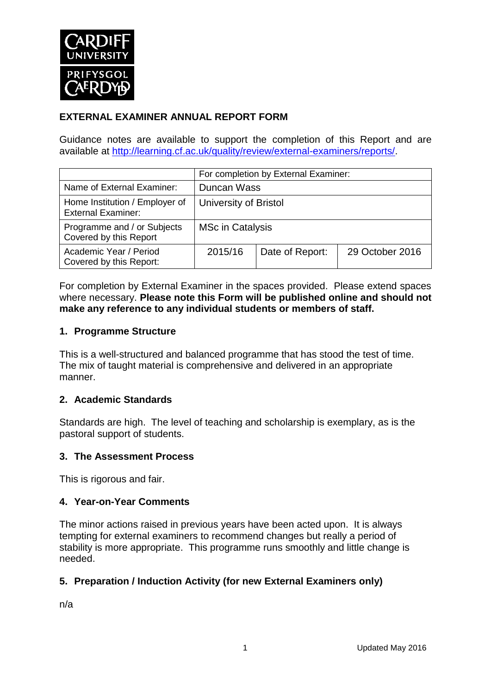

# **EXTERNAL EXAMINER ANNUAL REPORT FORM**

Guidance notes are available to support the completion of this Report and are available at [http://learning.cf.ac.uk/quality/review/external-examiners/reports/.](http://learning.cf.ac.uk/quality/review/external-examiners/reports/)

|                                                             | For completion by External Examiner: |                 |                 |  |
|-------------------------------------------------------------|--------------------------------------|-----------------|-----------------|--|
| Name of External Examiner:                                  | Duncan Wass                          |                 |                 |  |
| Home Institution / Employer of<br><b>External Examiner:</b> | University of Bristol                |                 |                 |  |
| Programme and / or Subjects<br>Covered by this Report       | <b>MSc in Catalysis</b>              |                 |                 |  |
| Academic Year / Period<br>Covered by this Report:           | 2015/16                              | Date of Report: | 29 October 2016 |  |

For completion by External Examiner in the spaces provided. Please extend spaces where necessary. **Please note this Form will be published online and should not make any reference to any individual students or members of staff.**

## **1. Programme Structure**

This is a well-structured and balanced programme that has stood the test of time. The mix of taught material is comprehensive and delivered in an appropriate manner.

## **2. Academic Standards**

Standards are high. The level of teaching and scholarship is exemplary, as is the pastoral support of students.

## **3. The Assessment Process**

This is rigorous and fair.

## **4. Year-on-Year Comments**

The minor actions raised in previous years have been acted upon. It is always tempting for external examiners to recommend changes but really a period of stability is more appropriate. This programme runs smoothly and little change is needed.

## **5. Preparation / Induction Activity (for new External Examiners only)**

n/a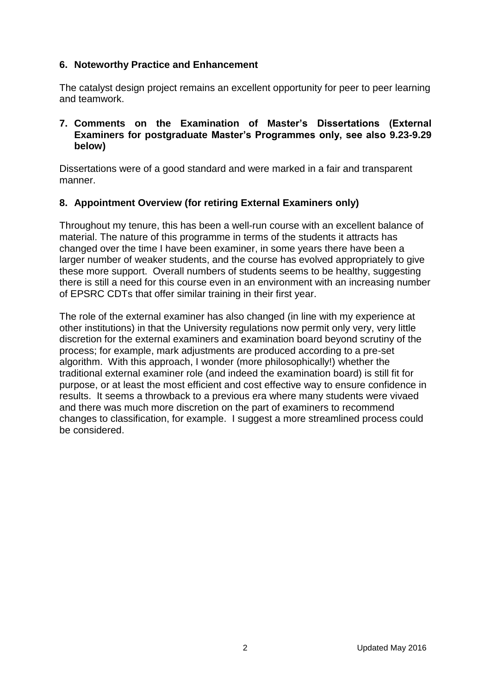## **6. Noteworthy Practice and Enhancement**

The catalyst design project remains an excellent opportunity for peer to peer learning and teamwork.

#### **7. Comments on the Examination of Master's Dissertations (External Examiners for postgraduate Master's Programmes only, see also 9.23-9.29 below)**

Dissertations were of a good standard and were marked in a fair and transparent manner.

## **8. Appointment Overview (for retiring External Examiners only)**

Throughout my tenure, this has been a well-run course with an excellent balance of material. The nature of this programme in terms of the students it attracts has changed over the time I have been examiner, in some years there have been a larger number of weaker students, and the course has evolved appropriately to give these more support. Overall numbers of students seems to be healthy, suggesting there is still a need for this course even in an environment with an increasing number of EPSRC CDTs that offer similar training in their first year.

The role of the external examiner has also changed (in line with my experience at other institutions) in that the University regulations now permit only very, very little discretion for the external examiners and examination board beyond scrutiny of the process; for example, mark adjustments are produced according to a pre-set algorithm. With this approach, I wonder (more philosophically!) whether the traditional external examiner role (and indeed the examination board) is still fit for purpose, or at least the most efficient and cost effective way to ensure confidence in results. It seems a throwback to a previous era where many students were vivaed and there was much more discretion on the part of examiners to recommend changes to classification, for example. I suggest a more streamlined process could be considered.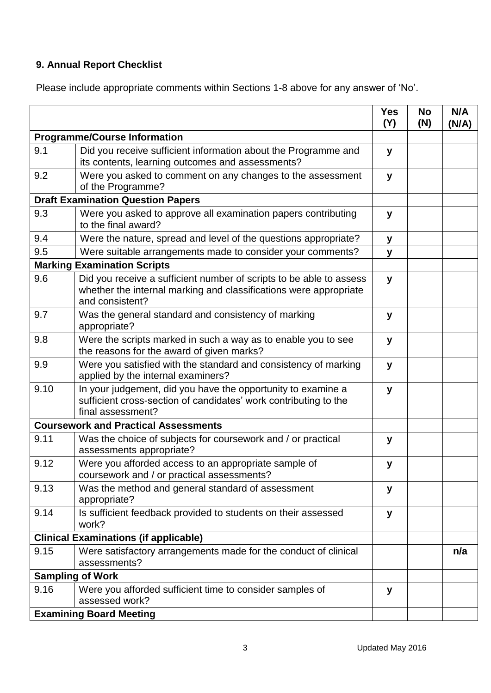# **9. Annual Report Checklist**

Please include appropriate comments within Sections 1-8 above for any answer of 'No'.

|                                              |                                                                                                                                                             | <b>Yes</b><br>(Y) | <b>No</b><br>(N) | N/A<br>(N/A) |
|----------------------------------------------|-------------------------------------------------------------------------------------------------------------------------------------------------------------|-------------------|------------------|--------------|
| <b>Programme/Course Information</b>          |                                                                                                                                                             |                   |                  |              |
| 9.1                                          | Did you receive sufficient information about the Programme and<br>its contents, learning outcomes and assessments?                                          | y                 |                  |              |
| 9.2                                          | Were you asked to comment on any changes to the assessment<br>of the Programme?                                                                             | y                 |                  |              |
| <b>Draft Examination Question Papers</b>     |                                                                                                                                                             |                   |                  |              |
| 9.3                                          | Were you asked to approve all examination papers contributing<br>to the final award?                                                                        | y                 |                  |              |
| 9.4                                          | Were the nature, spread and level of the questions appropriate?                                                                                             | у                 |                  |              |
| 9.5                                          | Were suitable arrangements made to consider your comments?                                                                                                  | у                 |                  |              |
|                                              | <b>Marking Examination Scripts</b>                                                                                                                          |                   |                  |              |
| 9.6                                          | Did you receive a sufficient number of scripts to be able to assess<br>whether the internal marking and classifications were appropriate<br>and consistent? | y                 |                  |              |
| 9.7                                          | Was the general standard and consistency of marking<br>appropriate?                                                                                         | у                 |                  |              |
| 9.8                                          | Were the scripts marked in such a way as to enable you to see<br>the reasons for the award of given marks?                                                  | y                 |                  |              |
| 9.9                                          | Were you satisfied with the standard and consistency of marking<br>applied by the internal examiners?                                                       | y                 |                  |              |
| 9.10                                         | In your judgement, did you have the opportunity to examine a<br>sufficient cross-section of candidates' work contributing to the<br>final assessment?       | y                 |                  |              |
|                                              | <b>Coursework and Practical Assessments</b>                                                                                                                 |                   |                  |              |
| 9.11                                         | Was the choice of subjects for coursework and / or practical<br>assessments appropriate?                                                                    | y                 |                  |              |
| 9.12                                         | Were you afforded access to an appropriate sample of<br>coursework and / or practical assessments?                                                          | у                 |                  |              |
| 9.13                                         | Was the method and general standard of assessment<br>appropriate?                                                                                           | у                 |                  |              |
| 9.14                                         | Is sufficient feedback provided to students on their assessed<br>work?                                                                                      | y                 |                  |              |
| <b>Clinical Examinations (if applicable)</b> |                                                                                                                                                             |                   |                  |              |
| 9.15                                         | Were satisfactory arrangements made for the conduct of clinical<br>assessments?                                                                             |                   |                  | n/a          |
|                                              | <b>Sampling of Work</b>                                                                                                                                     |                   |                  |              |
| 9.16                                         | Were you afforded sufficient time to consider samples of<br>assessed work?                                                                                  | y                 |                  |              |
| <b>Examining Board Meeting</b>               |                                                                                                                                                             |                   |                  |              |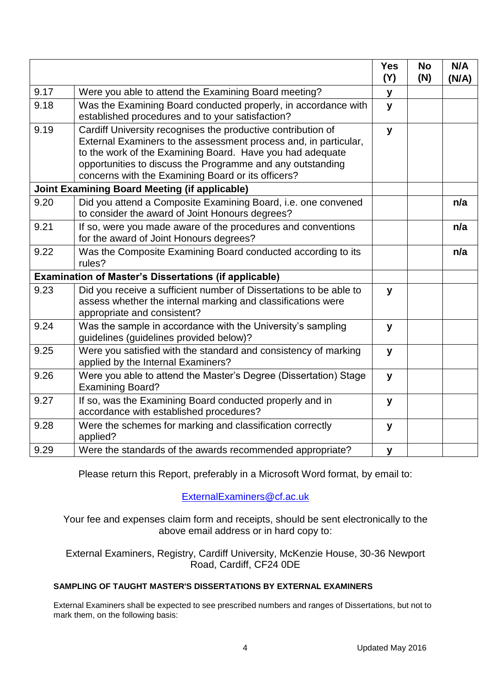|                                                              |                                                                                                                                                                                                                                                                                                                   | <b>Yes</b><br>(Y) | <b>No</b><br>(N) | N/A<br>(N/A) |
|--------------------------------------------------------------|-------------------------------------------------------------------------------------------------------------------------------------------------------------------------------------------------------------------------------------------------------------------------------------------------------------------|-------------------|------------------|--------------|
| 9.17                                                         | Were you able to attend the Examining Board meeting?                                                                                                                                                                                                                                                              | У                 |                  |              |
| 9.18                                                         | Was the Examining Board conducted properly, in accordance with<br>established procedures and to your satisfaction?                                                                                                                                                                                                | y                 |                  |              |
| 9.19                                                         | Cardiff University recognises the productive contribution of<br>External Examiners to the assessment process and, in particular,<br>to the work of the Examining Board. Have you had adequate<br>opportunities to discuss the Programme and any outstanding<br>concerns with the Examining Board or its officers? | $\mathbf{y}$      |                  |              |
| <b>Joint Examining Board Meeting (if applicable)</b>         |                                                                                                                                                                                                                                                                                                                   |                   |                  |              |
| 9.20                                                         | Did you attend a Composite Examining Board, i.e. one convened<br>to consider the award of Joint Honours degrees?                                                                                                                                                                                                  |                   |                  | n/a          |
| 9.21                                                         | If so, were you made aware of the procedures and conventions<br>for the award of Joint Honours degrees?                                                                                                                                                                                                           |                   |                  | n/a          |
| 9.22                                                         | Was the Composite Examining Board conducted according to its<br>rules?                                                                                                                                                                                                                                            |                   |                  | n/a          |
| <b>Examination of Master's Dissertations (if applicable)</b> |                                                                                                                                                                                                                                                                                                                   |                   |                  |              |
| 9.23                                                         | Did you receive a sufficient number of Dissertations to be able to<br>assess whether the internal marking and classifications were<br>appropriate and consistent?                                                                                                                                                 | y                 |                  |              |
| 9.24                                                         | Was the sample in accordance with the University's sampling<br>guidelines (guidelines provided below)?                                                                                                                                                                                                            | y                 |                  |              |
| 9.25                                                         | Were you satisfied with the standard and consistency of marking<br>applied by the Internal Examiners?                                                                                                                                                                                                             | y                 |                  |              |
| 9.26                                                         | Were you able to attend the Master's Degree (Dissertation) Stage<br><b>Examining Board?</b>                                                                                                                                                                                                                       | y                 |                  |              |
| 9.27                                                         | If so, was the Examining Board conducted properly and in<br>accordance with established procedures?                                                                                                                                                                                                               | y                 |                  |              |
| 9.28                                                         | Were the schemes for marking and classification correctly<br>applied?                                                                                                                                                                                                                                             | y                 |                  |              |
| 9.29                                                         | Were the standards of the awards recommended appropriate?                                                                                                                                                                                                                                                         | y                 |                  |              |

Please return this Report, preferably in a Microsoft Word format, by email to:

[ExternalExaminers@cf.ac.uk](mailto:ExternalExaminers@cf.ac.uk)

Your fee and expenses claim form and receipts, should be sent electronically to the above email address or in hard copy to:

External Examiners, Registry, Cardiff University, McKenzie House, 30-36 Newport Road, Cardiff, CF24 0DE

## **SAMPLING OF TAUGHT MASTER'S DISSERTATIONS BY EXTERNAL EXAMINERS**

External Examiners shall be expected to see prescribed numbers and ranges of Dissertations, but not to mark them, on the following basis: